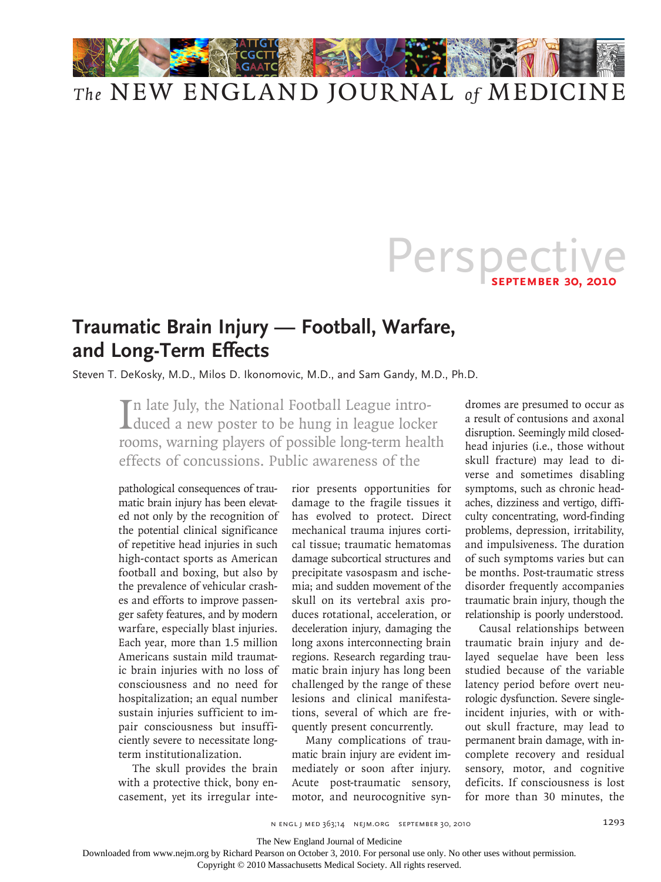

## *The* NEW ENGLAND JOURNAL *of* MEDICINE

## Perspective

## **Traumatic Brain Injury — Football, Warfare, and Long-Term Effects**

Steven T. DeKosky, M.D., Milos D. Ikonomovic, M.D., and Sam Gandy, M.D., Ph.D.

In late July, the National Football League intro-<br>duced a new poster to be hung in league locke **L**duced a new poster to be hung in league locker rooms, warning players of possible long-term health effects of concussions. Public awareness of the

pathological consequences of traumatic brain injury has been elevated not only by the recognition of the potential clinical significance of repetitive head injuries in such high-contact sports as American football and boxing, but also by the prevalence of vehicular crashes and efforts to improve passenger safety features, and by modern warfare, especially blast injuries. Each year, more than 1.5 million Americans sustain mild traumatic brain injuries with no loss of consciousness and no need for hospitalization; an equal number sustain injuries sufficient to impair consciousness but insufficiently severe to necessitate longterm institutionalization.

The skull provides the brain with a protective thick, bony encasement, yet its irregular interior presents opportunities for damage to the fragile tissues it has evolved to protect. Direct mechanical trauma injures cortical tissue; traumatic hematomas damage subcortical structures and precipitate vasospasm and ischemia; and sudden movement of the skull on its vertebral axis produces rotational, acceleration, or deceleration injury, damaging the long axons interconnecting brain regions. Research regarding traumatic brain injury has long been challenged by the range of these lesions and clinical manifestations, several of which are frequently present concurrently.

Many complications of traumatic brain injury are evident immediately or soon after injury. Acute post-traumatic sensory, motor, and neurocognitive syn-

dromes are presumed to occur as a result of contusions and axonal disruption. Seemingly mild closedhead injuries (i.e., those without skull fracture) may lead to diverse and sometimes disabling symptoms, such as chronic headaches, dizziness and vertigo, difficulty concentrating, word-finding problems, depression, irritability, and impulsiveness. The duration of such symptoms varies but can be months. Post-traumatic stress disorder frequently accompanies traumatic brain injury, though the relationship is poorly understood.

Causal relationships between traumatic brain injury and delayed sequelae have been less studied because of the variable latency period before overt neurologic dysfunction. Severe singleincident injuries, with or without skull fracture, may lead to permanent brain damage, with incomplete recovery and residual sensory, motor, and cognitive deficits. If consciousness is lost for more than 30 minutes, the

The New England Journal of Medicine

Downloaded from www.nejm.org by Richard Pearson on October 3, 2010. For personal use only. No other uses without permission.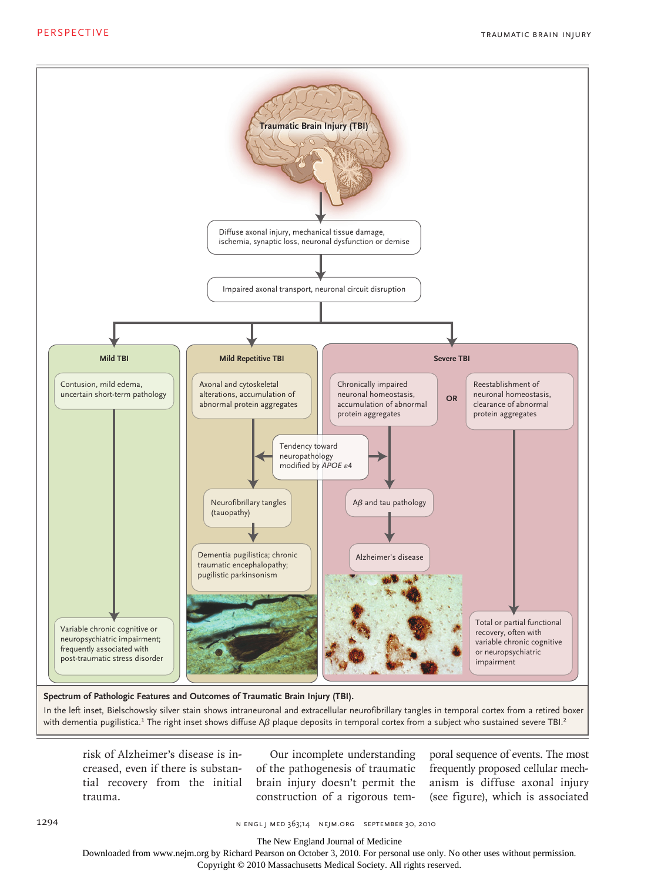

In the left inset, Bielschowsky silver stain shows intraneuronal and extracellular neurofibrillary tangles in temporal cortex from a retired boxer with dementia pugilistica.<sup>1</sup> The right inset shows diffuse A $\beta$  plaque deposits in temporal cortex from a subject who sustained severe TBI.<sup>2</sup>

risk of Alzheimer's disease is increased, even if there is substantial recovery from the initial trauma.

Our incomplete understanding of the pathogenesis of traumatic brain injury doesn't permit the construction of a rigorous tem-

poral sequence of events. The most frequently proposed cellular mechanism is diffuse axonal injury (see figure), which is associated

1294 n engl j med 363;14 nejm.org september 30, 2010

The New England Journal of Medicine

Downloaded from www.nejm.org by Richard Pearson on October 3, 2010. For personal use only. No other uses without permission.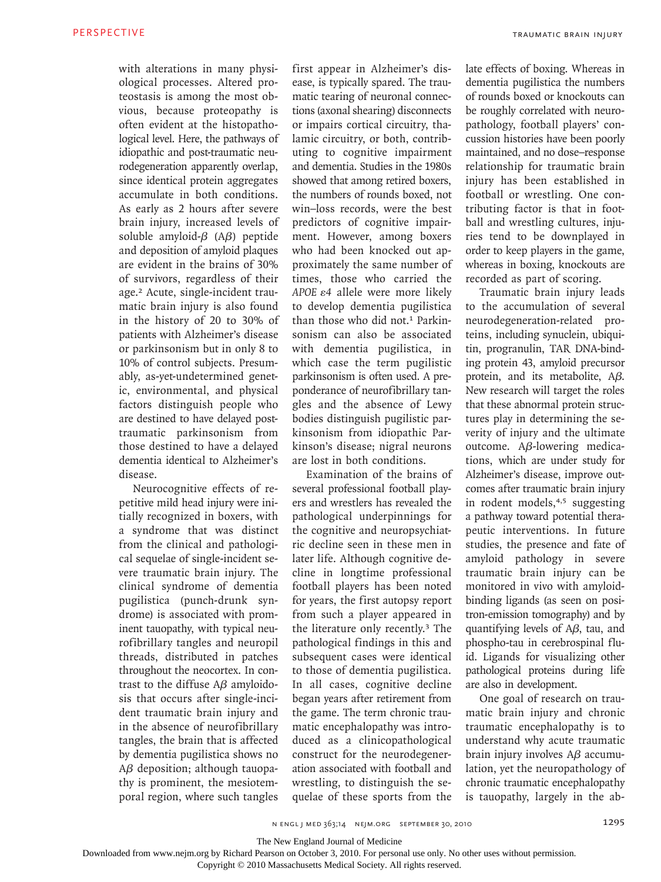with alterations in many physiological processes. Altered proteostasis is among the most obvious, because proteopathy is often evident at the histopathological level. Here, the pathways of idiopathic and post-traumatic neurodegeneration apparently overlap, since identical protein aggregates accumulate in both conditions. As early as 2 hours after severe brain injury, increased levels of soluble amyloid-β (Aβ) peptide and deposition of amyloid plaques are evident in the brains of 30% of survivors, regardless of their age.2 Acute, single-incident traumatic brain injury is also found in the history of 20 to 30% of patients with Alzheimer's disease or parkinsonism but in only 8 to 10% of control subjects. Presumably, as-yet-undetermined genetic, environmental, and physical factors distinguish people who are destined to have delayed posttraumatic parkinsonism from those destined to have a delayed dementia identical to Alzheimer's disease.

Neurocognitive effects of repetitive mild head injury were initially recognized in boxers, with a syndrome that was distinct from the clinical and pathological sequelae of single-incident severe traumatic brain injury. The clinical syndrome of dementia pugilistica (punch-drunk syndrome) is associated with prominent tauopathy, with typical neurofibrillary tangles and neuropil threads, distributed in patches throughout the neocortex. In contrast to the diffuse Aβ amyloidosis that occurs after single-incident traumatic brain injury and in the absence of neurofibrillary tangles, the brain that is affected by dementia pugilistica shows no Aβ deposition; although tauopathy is prominent, the mesiotemporal region, where such tangles

first appear in Alzheimer's disease, is typically spared. The traumatic tearing of neuronal connections (axonal shearing) disconnects or impairs cortical circuitry, thalamic circuitry, or both, contributing to cognitive impairment and dementia. Studies in the 1980s showed that among retired boxers, the numbers of rounds boxed, not win–loss records, were the best predictors of cognitive impairment. However, among boxers who had been knocked out approximately the same number of times, those who carried the *APOE ε4* allele were more likely to develop dementia pugilistica than those who did not.<sup>1</sup> Parkinsonism can also be associated with dementia pugilistica, in which case the term pugilistic parkinsonism is often used. A preponderance of neurofibrillary tangles and the absence of Lewy bodies distinguish pugilistic parkinsonism from idiopathic Parkinson's disease; nigral neurons are lost in both conditions.

Examination of the brains of several professional football players and wrestlers has revealed the pathological underpinnings for the cognitive and neuropsychiatric decline seen in these men in later life. Although cognitive decline in longtime professional football players has been noted for years, the first autopsy report from such a player appeared in the literature only recently.3 The pathological findings in this and subsequent cases were identical to those of dementia pugilistica. In all cases, cognitive decline began years after retirement from the game. The term chronic traumatic encephalopathy was introduced as a clinicopathological construct for the neurodegeneration associated with football and wrestling, to distinguish the sequelae of these sports from the

late effects of boxing. Whereas in dementia pugilistica the numbers of rounds boxed or knockouts can be roughly correlated with neuropathology, football players' concussion histories have been poorly maintained, and no dose–response relationship for traumatic brain injury has been established in football or wrestling. One contributing factor is that in football and wrestling cultures, injuries tend to be downplayed in order to keep players in the game, whereas in boxing, knockouts are recorded as part of scoring.

Traumatic brain injury leads to the accumulation of several neurodegeneration-related proteins, including synuclein, ubiquitin, progranulin, TAR DNA-binding protein 43, amyloid precursor protein, and its metabolite, Aβ. New research will target the roles that these abnormal protein structures play in determining the severity of injury and the ultimate outcome. Aβ-lowering medications, which are under study for Alzheimer's disease, improve outcomes after traumatic brain injury in rodent models,<sup>4,5</sup> suggesting a pathway toward potential therapeutic interventions. In future studies, the presence and fate of amyloid pathology in severe traumatic brain injury can be monitored in vivo with amyloidbinding ligands (as seen on positron-emission tomography) and by quantifying levels of Aβ, tau, and phospho-tau in cerebrospinal fluid. Ligands for visualizing other pathological proteins during life are also in development.

One goal of research on traumatic brain injury and chronic traumatic encephalopathy is to understand why acute traumatic brain injury involves Aβ accumulation, yet the neuropathology of chronic traumatic encephalopathy is tauopathy, largely in the ab-

The New England Journal of Medicine

Downloaded from www.nejm.org by Richard Pearson on October 3, 2010. For personal use only. No other uses without permission.